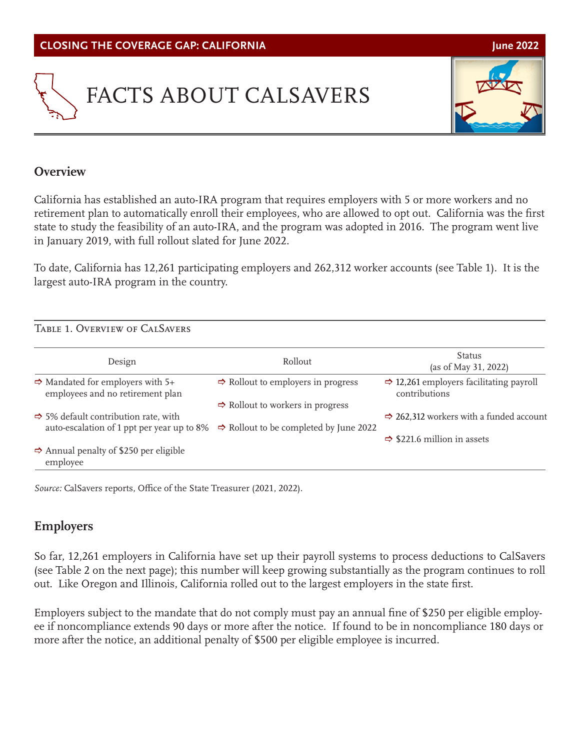



### **Overview**

California has established an auto-IRA program that requires employers with 5 or more workers and no retirement plan to automatically enroll their employees, who are allowed to opt out. California was the first state to study the feasibility of an auto-IRA, and the program was adopted in 2016. The program went live in January 2019, with full rollout slated for June 2022.

To date, California has 12,261 participating employers and 262,312 worker accounts (see Table 1). It is the largest auto-IRA program in the country.

| TABLE 1. OVERVIEW OF CALSAVERS                                                                 |                                                    |                                                                      |
|------------------------------------------------------------------------------------------------|----------------------------------------------------|----------------------------------------------------------------------|
| Design                                                                                         | Rollout                                            | Status<br>(as of May 31, 2022)                                       |
| $\Rightarrow$ Mandated for employers with 5+<br>employees and no retirement plan               | $\Rightarrow$ Rollout to employers in progress     | $\Rightarrow$ 12,261 employers facilitating payroll<br>contributions |
|                                                                                                | $\Rightarrow$ Rollout to workers in progress       |                                                                      |
| $\Rightarrow$ 5% default contribution rate, with<br>auto-escalation of 1 ppt per year up to 8% |                                                    | $\Rightarrow$ 262,312 workers with a funded account                  |
|                                                                                                | $\Rightarrow$ Rollout to be completed by June 2022 | $\Rightarrow$ \$221.6 million in assets                              |
| $\Rightarrow$ Annual penalty of \$250 per eligible<br>employee                                 |                                                    |                                                                      |

*Source:* CalSavers reports, Office of the State Treasurer (2021, 2022).

## **Employers**

So far, 12,261 employers in California have set up their payroll systems to process deductions to CalSavers (see Table 2 on the next page); this number will keep growing substantially as the program continues to roll out. Like Oregon and Illinois, California rolled out to the largest employers in the state first.

Employers subject to the mandate that do not comply must pay an annual fine of \$250 per eligible employee if noncompliance extends 90 days or more after the notice. If found to be in noncompliance 180 days or more after the notice, an additional penalty of \$500 per eligible employee is incurred.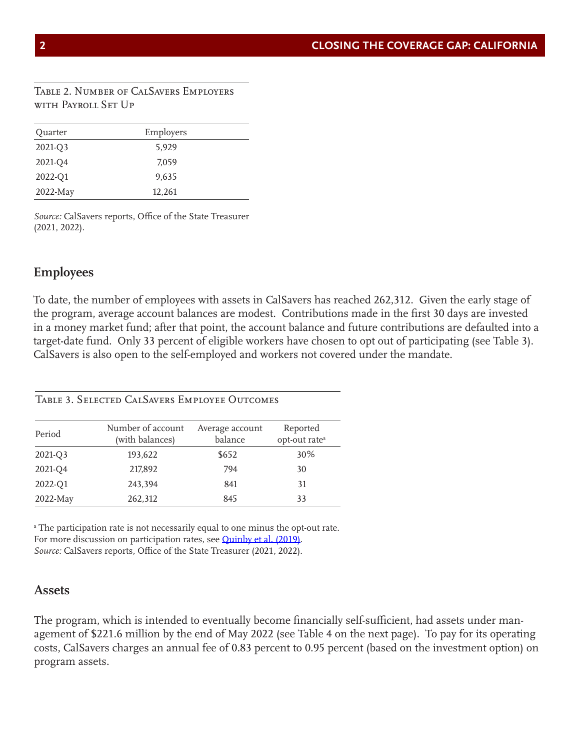#### Table 2. Number of CalSavers Employers with Payroll Set Up

| Quarter  | Employers |  |
|----------|-----------|--|
| 2021-Q3  | 5,929     |  |
| 2021-Q4  | 7,059     |  |
| 2022-Q1  | 9,635     |  |
| 2022-May | 12,261    |  |

*Source:* CalSavers reports, Office of the State Treasurer (2021, 2022).

#### **Employees**

To date, the number of employees with assets in CalSavers has reached 262,312. Given the early stage of the program, average account balances are modest. Contributions made in the first 30 days are invested in a money market fund; after that point, the account balance and future contributions are defaulted into a target-date fund. Only 33 percent of eligible workers have chosen to opt out of participating (see Table 3). CalSavers is also open to the self-employed and workers not covered under the mandate.

Table 3. Selected CalSavers Employee Outcomes

| Period   | Number of account<br>(with balances) | Average account<br>balance | Reported<br>opt-out rate <sup>a</sup> |
|----------|--------------------------------------|----------------------------|---------------------------------------|
| 2021-Q3  | 193,622                              | \$652                      | 30%                                   |
| 2021-Q4  | 217,892                              | 794                        | 30                                    |
| 2022-Q1  | 243,394                              | 841                        | 31                                    |
| 2022-May | 262,312                              | 845                        | 33                                    |

a The participation rate is not necessarily equal to one minus the opt-out rate. For more discussion on participation rates, see [Quinby et al. \(2019\)](https://crr.bc.edu/working-papers/participation-and-pre-retirement-withdrawals-in-oregons-auto-ira/). *Source:* CalSavers reports, Office of the State Treasurer (2021, 2022).

#### **Assets**

The program, which is intended to eventually become financially self-sufficient, had assets under management of \$221.6 million by the end of May 2022 (see Table 4 on the next page). To pay for its operating costs, CalSavers charges an annual fee of 0.83 percent to 0.95 percent (based on the investment option) on program assets.